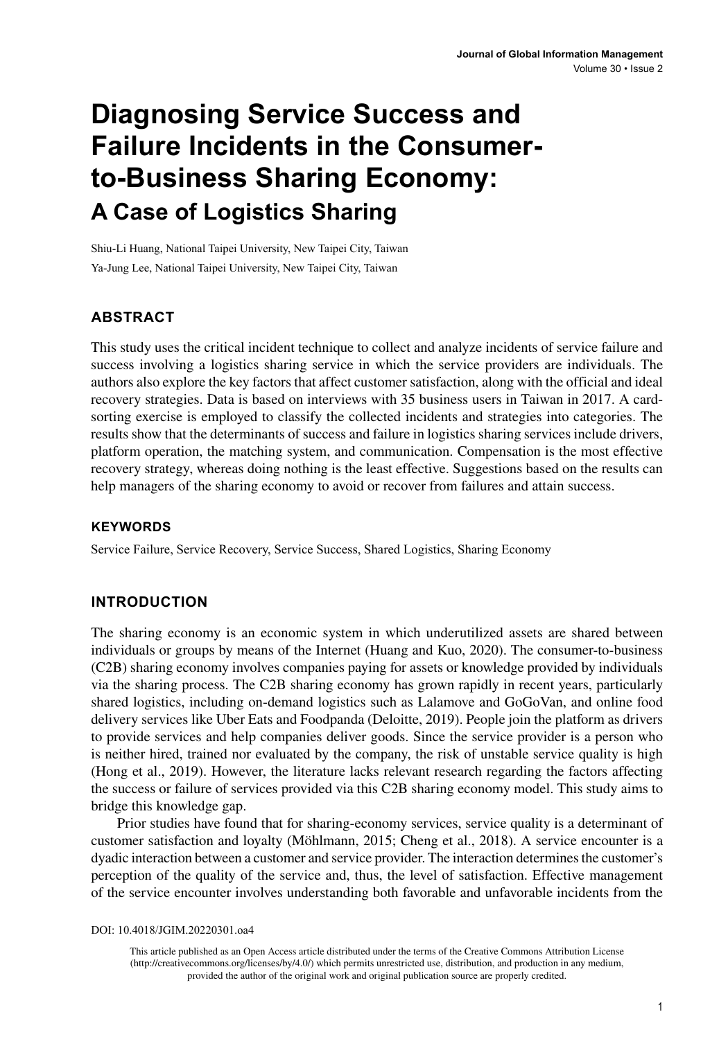# **Diagnosing Service Success and Failure Incidents in the Consumerto-Business Sharing Economy: A Case of Logistics Sharing**

Shiu-Li Huang, National Taipei University, New Taipei City, Taiwan Ya-Jung Lee, National Taipei University, New Taipei City, Taiwan

## **ABSTRACT**

This study uses the critical incident technique to collect and analyze incidents of service failure and success involving a logistics sharing service in which the service providers are individuals. The authors also explore the key factors that affect customer satisfaction, along with the official and ideal recovery strategies. Data is based on interviews with 35 business users in Taiwan in 2017. A cardsorting exercise is employed to classify the collected incidents and strategies into categories. The results show that the determinants of success and failure in logistics sharing services include drivers, platform operation, the matching system, and communication. Compensation is the most effective recovery strategy, whereas doing nothing is the least effective. Suggestions based on the results can help managers of the sharing economy to avoid or recover from failures and attain success.

#### **Keywords**

Service Failure, Service Recovery, Service Success, Shared Logistics, Sharing Economy

### **INTRODUCTION**

The sharing economy is an economic system in which underutilized assets are shared between individuals or groups by means of the Internet (Huang and Kuo, 2020). The consumer-to-business (C2B) sharing economy involves companies paying for assets or knowledge provided by individuals via the sharing process. The C2B sharing economy has grown rapidly in recent years, particularly shared logistics, including on-demand logistics such as Lalamove and GoGoVan, and online food delivery services like Uber Eats and Foodpanda (Deloitte, 2019). People join the platform as drivers to provide services and help companies deliver goods. Since the service provider is a person who is neither hired, trained nor evaluated by the company, the risk of unstable service quality is high (Hong et al., 2019). However, the literature lacks relevant research regarding the factors affecting the success or failure of services provided via this C2B sharing economy model. This study aims to bridge this knowledge gap.

Prior studies have found that for sharing-economy services, service quality is a determinant of customer satisfaction and loyalty (Möhlmann, 2015; Cheng et al., 2018). A service encounter is a dyadic interaction between a customer and service provider. The interaction determines the customer's perception of the quality of the service and, thus, the level of satisfaction. Effective management of the service encounter involves understanding both favorable and unfavorable incidents from the

DOI: 10.4018/JGIM.20220301.oa4

This article published as an Open Access article distributed under the terms of the Creative Commons Attribution License (http://creativecommons.org/licenses/by/4.0/) which permits unrestricted use, distribution, and production in any medium, provided the author of the original work and original publication source are properly credited.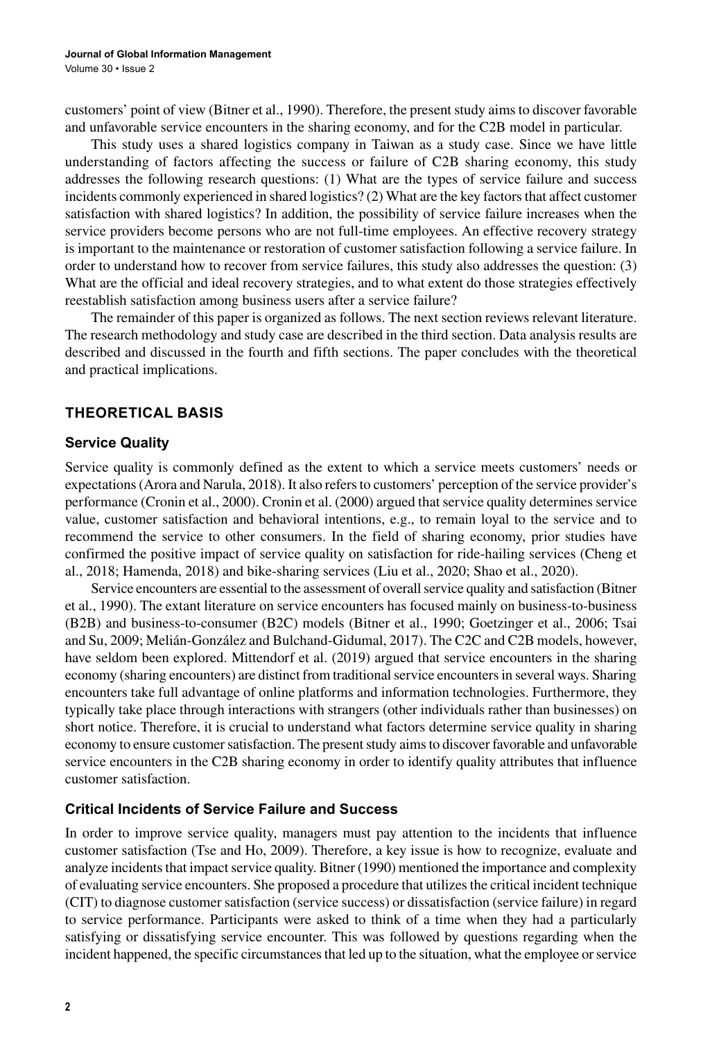customers' point of view (Bitner et al., 1990). Therefore, the present study aims to discover favorable and unfavorable service encounters in the sharing economy, and for the C2B model in particular.

This study uses a shared logistics company in Taiwan as a study case. Since we have little understanding of factors affecting the success or failure of C2B sharing economy, this study addresses the following research questions: (1) What are the types of service failure and success incidents commonly experienced in shared logistics? (2) What are the key factors that affect customer satisfaction with shared logistics? In addition, the possibility of service failure increases when the service providers become persons who are not full-time employees. An effective recovery strategy is important to the maintenance or restoration of customer satisfaction following a service failure. In order to understand how to recover from service failures, this study also addresses the question: (3) What are the official and ideal recovery strategies, and to what extent do those strategies effectively reestablish satisfaction among business users after a service failure?

The remainder of this paper is organized as follows. The next section reviews relevant literature. The research methodology and study case are described in the third section. Data analysis results are described and discussed in the fourth and fifth sections. The paper concludes with the theoretical and practical implications.

#### **THEORETICAL BASIS**

#### **Service Quality**

Service quality is commonly defined as the extent to which a service meets customers' needs or expectations (Arora and Narula, 2018). It also refers to customers' perception of the service provider's performance (Cronin et al., 2000). Cronin et al. (2000) argued that service quality determines service value, customer satisfaction and behavioral intentions, e.g., to remain loyal to the service and to recommend the service to other consumers. In the field of sharing economy, prior studies have confirmed the positive impact of service quality on satisfaction for ride-hailing services (Cheng et al., 2018; Hamenda, 2018) and bike-sharing services (Liu et al., 2020; Shao et al., 2020).

Service encounters are essential to the assessment of overall service quality and satisfaction (Bitner et al., 1990). The extant literature on service encounters has focused mainly on business-to-business (B2B) and business-to-consumer (B2C) models (Bitner et al., 1990; Goetzinger et al., 2006; Tsai and Su, 2009; Melián-González and Bulchand-Gidumal, 2017). The C2C and C2B models, however, have seldom been explored. Mittendorf et al. (2019) argued that service encounters in the sharing economy (sharing encounters) are distinct from traditional service encounters in several ways. Sharing encounters take full advantage of online platforms and information technologies. Furthermore, they typically take place through interactions with strangers (other individuals rather than businesses) on short notice. Therefore, it is crucial to understand what factors determine service quality in sharing economy to ensure customer satisfaction. The present study aims to discover favorable and unfavorable service encounters in the C2B sharing economy in order to identify quality attributes that influence customer satisfaction.

#### **Critical Incidents of Service Failure and Success**

In order to improve service quality, managers must pay attention to the incidents that influence customer satisfaction (Tse and Ho, 2009). Therefore, a key issue is how to recognize, evaluate and analyze incidents that impact service quality. Bitner (1990) mentioned the importance and complexity of evaluating service encounters. She proposed a procedure that utilizes the critical incident technique (CIT) to diagnose customer satisfaction (service success) or dissatisfaction (service failure) in regard to service performance. Participants were asked to think of a time when they had a particularly satisfying or dissatisfying service encounter. This was followed by questions regarding when the incident happened, the specific circumstances that led up to the situation, what the employee or service